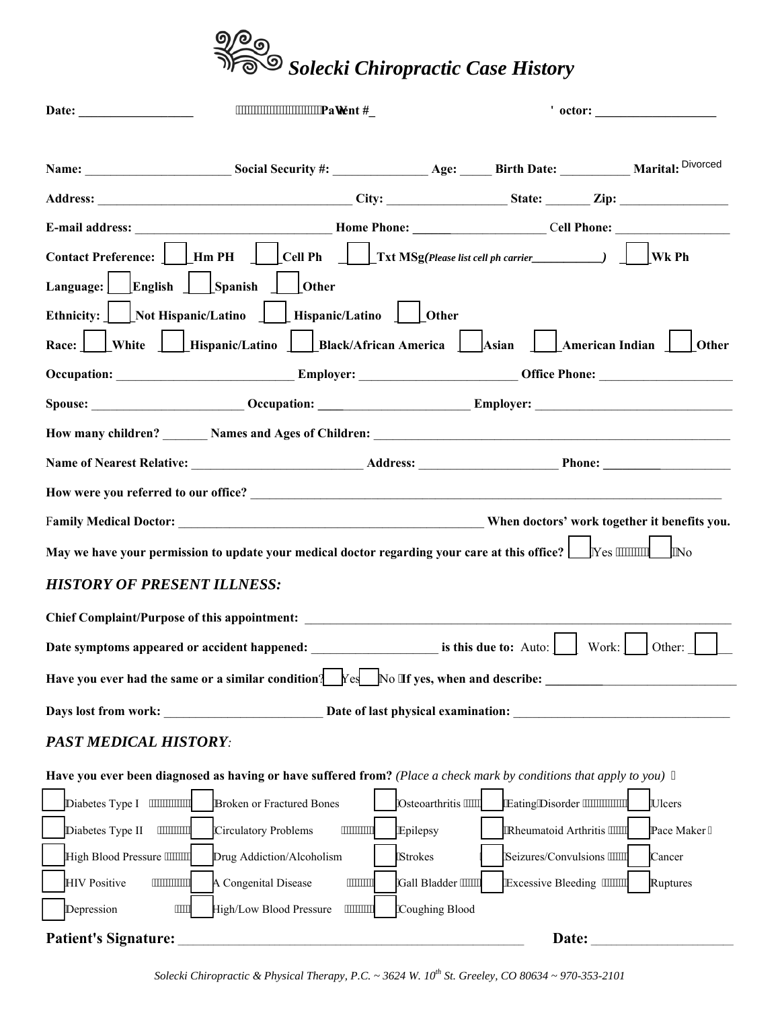

|                                                                                         | www.www.www.pavient#                                                                                                 |                       |                                            |  |
|-----------------------------------------------------------------------------------------|----------------------------------------------------------------------------------------------------------------------|-----------------------|--------------------------------------------|--|
|                                                                                         |                                                                                                                      |                       |                                            |  |
|                                                                                         |                                                                                                                      |                       |                                            |  |
|                                                                                         |                                                                                                                      |                       |                                            |  |
|                                                                                         |                                                                                                                      |                       |                                            |  |
|                                                                                         |                                                                                                                      |                       |                                            |  |
| Language: English Spanish                                                               | $\vert$ Other                                                                                                        |                       |                                            |  |
|                                                                                         | Ethnicity:     Not Hispanic/Latino     Hispanic/Latino     Other                                                     |                       |                                            |  |
|                                                                                         | Race: White   Hispanic/Latino   Black/African America   Asian   American Indian   Other                              |                       |                                            |  |
|                                                                                         |                                                                                                                      |                       |                                            |  |
|                                                                                         |                                                                                                                      |                       |                                            |  |
|                                                                                         |                                                                                                                      |                       |                                            |  |
|                                                                                         |                                                                                                                      |                       |                                            |  |
|                                                                                         |                                                                                                                      |                       |                                            |  |
|                                                                                         |                                                                                                                      |                       |                                            |  |
|                                                                                         | May we have your permission to update your medical doctor regarding your care at this office? $\Box$ Yes """"""   No |                       |                                            |  |
| <b>HISTORY OF PRESENT ILLNESS:</b>                                                      |                                                                                                                      |                       |                                            |  |
|                                                                                         | Chief Complaint/Purpose of this appointment:                                                                         |                       |                                            |  |
|                                                                                         |                                                                                                                      |                       | Other:                                     |  |
| Have you ever had the same or a similar condition? $Yes$ No 'If yes, when and describe: |                                                                                                                      |                       |                                            |  |
| Days lost from work:                                                                    |                                                                                                                      |                       |                                            |  |
| Date of last physical examination:                                                      |                                                                                                                      |                       |                                            |  |
| <b>PAST MEDICAL HISTORY:</b>                                                            |                                                                                                                      |                       |                                            |  |
|                                                                                         | Have you ever been diagnosed as having or have suffered from? (Place a check mark by conditions that apply to you) " |                       |                                            |  |
| Diabetes Type I<br>,,,,,,,,,,,,,,,                                                      | <b>Broken or Fractured Bones</b>                                                                                     | 'Osteoarthritis """"" | "Eating"Disorder """"""""""""<br>Ulcers    |  |
| ,,,,,,,,,,,,,<br>Diabetes Type II                                                       | ,,,,,,,,,,,<br><b>Circulatory Problems</b>                                                                           | <b>Epilepsy</b>       | "Rheumatoid Arthritis """""<br>Pace Maker" |  |
| High Blood Pressure """"""                                                              | Drug Addiction/Alcoholism                                                                                            | 'Strokes              | 'Seizures/Convulsions """""<br>Cancer      |  |
| <b>HIV Positive</b>                                                                     | A Congenital Disease<br>,,,,,,,,,,                                                                                   | 'Gall Bladder """""   | "Excessive Bleeding """"""<br>Ruptures     |  |
| Depression<br>,,,,,                                                                     | High/Low Blood Pressure<br>,,,,,,,,,,,                                                                               | 'Coughing Blood       |                                            |  |
| <b>Patient's Signature:</b>                                                             |                                                                                                                      |                       | Date:                                      |  |

*Solecki Chiropractic & Physical Therapy, P.C. ~ 3624 W. 10th St. Greeley, CO 80634 ~ 970-353-2101*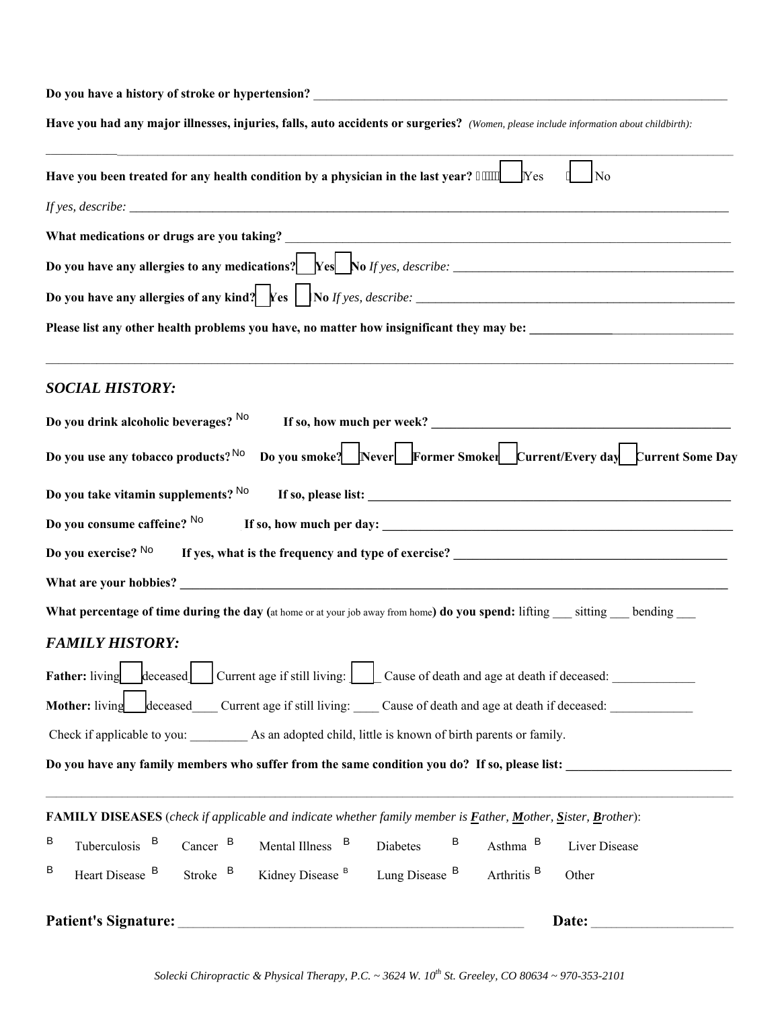| Have you had any major illnesses, injuries, falls, auto accidents or surgeries? (Women, please include information about childbirth):                |
|------------------------------------------------------------------------------------------------------------------------------------------------------|
| Have you been treated for any health condition by a physician in the last year? """"<br>Yes<br>N <sub>0</sub>                                        |
|                                                                                                                                                      |
|                                                                                                                                                      |
| Do you have any allergies to any medications? $\left  \begin{array}{c} \text{Yes} \\ \text{No } \text{If yes, describe: } \end{array} \right.$       |
|                                                                                                                                                      |
|                                                                                                                                                      |
| <b>SOCIAL HISTORY:</b>                                                                                                                               |
| Do you drink alcoholic beverages? No                                                                                                                 |
| Do you smoke? Never Former Smoker Current/Every day Current Some Day<br>Do you use any tobacco products? No                                          |
| Do you take vitamin supplements? No                                                                                                                  |
| Do you consume caffeine? No                                                                                                                          |
| Do you exercise? No<br>If yes, what is the frequency and type of exercise?<br><u>Letting and</u> type of exercise?                                   |
|                                                                                                                                                      |
| What percentage of time during the day (at home or at your job away from home) do you spend: lifting __ sitting __ bending __                        |
| <b>FAMILY HISTORY:</b>                                                                                                                               |
| $\left  \text{decesed} \right $ Current age if still living: $\left  \right $ Cause of death and age at death if deceased:<br>Father: living         |
| deceased Current age if still living: Cause of death and age at death if deceased:<br><b>Mother:</b> living                                          |
|                                                                                                                                                      |
| Do you have any family members who suffer from the same condition you do? If so, please list:                                                        |
|                                                                                                                                                      |
| FAMILY DISEASES (check if applicable and indicate whether family member is <i>Father</i> , <i>Mother</i> , <i>Sister</i> , <i>Brother</i> ):         |
| В<br>Tuberculosis <sup>B</sup><br>B<br>Cancer $B$<br>Mental Illness B<br>Asthma <sup>B</sup><br>Diabetes<br>Liver Disease                            |
| В<br>Heart Disease B<br>Lung Disease B<br>Arthritis <sup>B</sup><br>Stroke <sup>B</sup><br>Kidney Disease <sup>B</sup><br>Other                      |
| Patient's Signature:<br>Date:<br><u> 1980 - Jan Alexandria de Alexandria de Alexandria de Alexandria de Alexandria de Alexandria de Alexandria d</u> |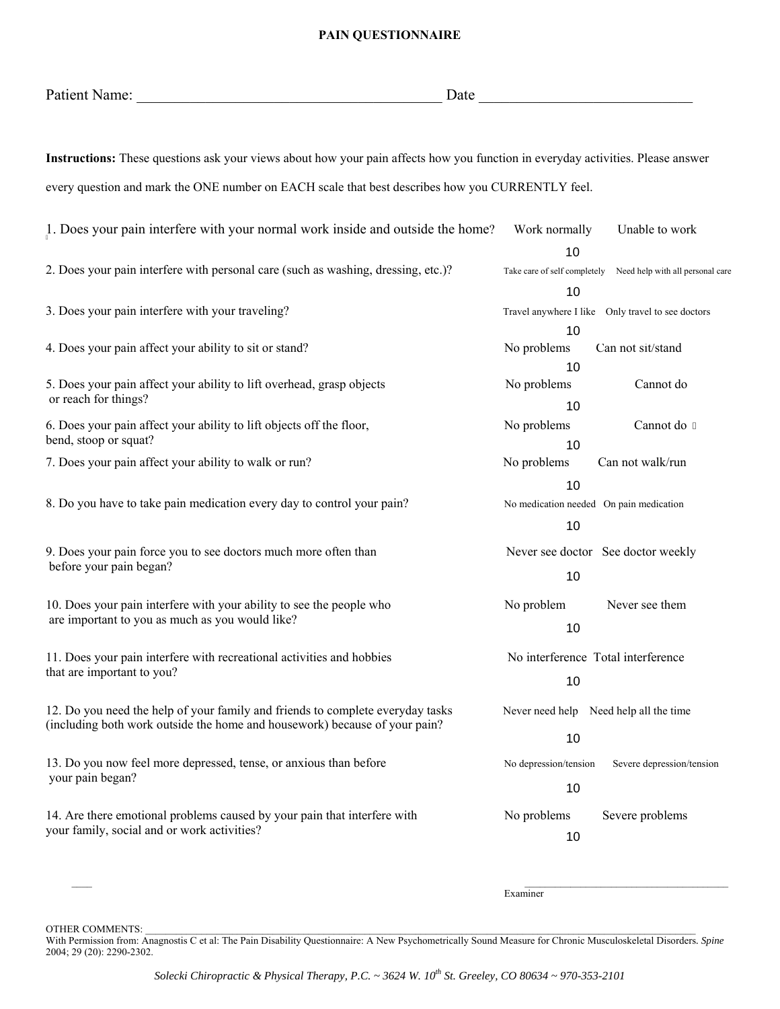## **PAIN QUESTIONNAIRE**

| Patient Name: | Date |
|---------------|------|
|               |      |

**Instructions:** These questions ask your views about how your pain affects how you function in everyday activities. Please answer every question and mark the ONE number on EACH scale that best describes how you CURRENTLY feel.

| 1. Does your pain interfere with your normal work inside and outside the home?                      | Work normally<br>Unable to work                                  |  |  |
|-----------------------------------------------------------------------------------------------------|------------------------------------------------------------------|--|--|
|                                                                                                     | 10                                                               |  |  |
| 2. Does your pain interfere with personal care (such as washing, dressing, etc.)?                   | Take care of self completely<br>Need help with all personal care |  |  |
|                                                                                                     | 10                                                               |  |  |
| 3. Does your pain interfere with your traveling?                                                    | Travel anywhere I like Only travel to see doctors                |  |  |
|                                                                                                     | 10                                                               |  |  |
| 4. Does your pain affect your ability to sit or stand?                                              | No problems<br>Can not sit/stand                                 |  |  |
|                                                                                                     | 10                                                               |  |  |
| 5. Does your pain affect your ability to lift overhead, grasp objects                               | No problems<br>Cannot do                                         |  |  |
| or reach for things?                                                                                | 10                                                               |  |  |
| 6. Does your pain affect your ability to lift objects off the floor,                                | No problems<br>Cannot do "                                       |  |  |
| bend, stoop or squat?                                                                               | 10                                                               |  |  |
| 7. Does your pain affect your ability to walk or run?                                               | No problems<br>Can not walk/run                                  |  |  |
|                                                                                                     | 10                                                               |  |  |
| 8. Do you have to take pain medication every day to control your pain?                              | No medication needed On pain medication                          |  |  |
|                                                                                                     | 10                                                               |  |  |
| 9. Does your pain force you to see doctors much more often than                                     | Never see doctor See doctor weekly                               |  |  |
| before your pain began?                                                                             |                                                                  |  |  |
|                                                                                                     | 10                                                               |  |  |
| 10. Does your pain interfere with your ability to see the people who                                | No problem<br>Never see them                                     |  |  |
| are important to you as much as you would like?                                                     | 10                                                               |  |  |
|                                                                                                     |                                                                  |  |  |
| 11. Does your pain interfere with recreational activities and hobbies<br>that are important to you? | No interference Total interference                               |  |  |
|                                                                                                     | 10                                                               |  |  |
| 12. Do you need the help of your family and friends to complete everyday tasks                      | Never need help Need help all the time                           |  |  |
| (including both work outside the home and housework) because of your pain?                          |                                                                  |  |  |
|                                                                                                     | 10                                                               |  |  |
| 13. Do you now feel more depressed, tense, or anxious than before                                   | No depression/tension<br>Severe depression/tension               |  |  |
| your pain began?                                                                                    | 10                                                               |  |  |
| 14. Are there emotional problems caused by your pain that interfere with                            |                                                                  |  |  |
| your family, social and or work activities?                                                         | No problems<br>Severe problems                                   |  |  |
|                                                                                                     | 10                                                               |  |  |
|                                                                                                     |                                                                  |  |  |

Examiner

OTHER COMMENTS: with a state of the state of the state of the state of the state of the state of the state of the state of the state of the state of the state of the state of the state of the state of the state of the stat

With Permission from: Anagnostis C et al: The Pain Disability Questionnaire: A New Psychometrically Sound Measure for Chronic Musculoskeletal Disorders*. Spine*  2004; 29 (20): 2290-2302.

 $\mathcal{L}_\text{max}$  , and the state of the state of the state of the state of the state of the state of the state of the state of the state of the state of the state of the state of the state of the state of the state of the st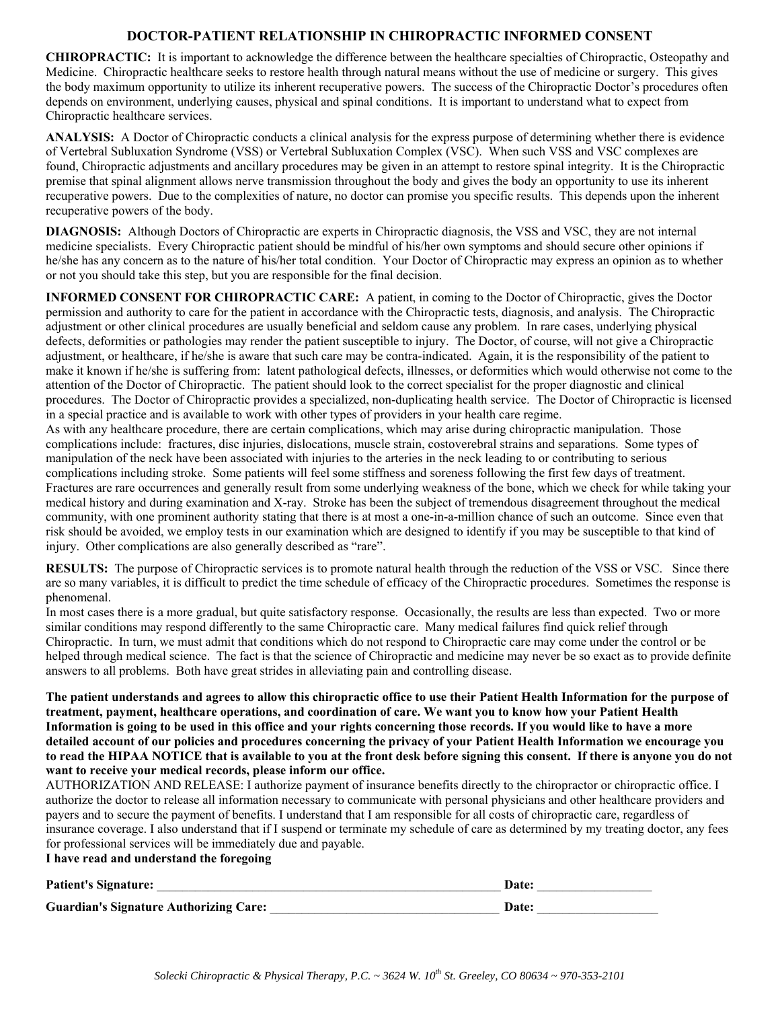## **DOCTOR-PATIENT RELATIONSHIP IN CHIROPRACTIC INFORMED CONSENT**

**CHIROPRACTIC:** It is important to acknowledge the difference between the healthcare specialties of Chiropractic, Osteopathy and Medicine. Chiropractic healthcare seeks to restore health through natural means without the use of medicine or surgery. This gives the body maximum opportunity to utilize its inherent recuperative powers. The success of the Chiropractic Doctor's procedures often depends on environment, underlying causes, physical and spinal conditions. It is important to understand what to expect from Chiropractic healthcare services.

**ANALYSIS:** A Doctor of Chiropractic conducts a clinical analysis for the express purpose of determining whether there is evidence of Vertebral Subluxation Syndrome (VSS) or Vertebral Subluxation Complex (VSC). When such VSS and VSC complexes are found, Chiropractic adjustments and ancillary procedures may be given in an attempt to restore spinal integrity. It is the Chiropractic premise that spinal alignment allows nerve transmission throughout the body and gives the body an opportunity to use its inherent recuperative powers. Due to the complexities of nature, no doctor can promise you specific results. This depends upon the inherent recuperative powers of the body.

**DIAGNOSIS:** Although Doctors of Chiropractic are experts in Chiropractic diagnosis, the VSS and VSC, they are not internal medicine specialists. Every Chiropractic patient should be mindful of his/her own symptoms and should secure other opinions if he/she has any concern as to the nature of his/her total condition. Your Doctor of Chiropractic may express an opinion as to whether or not you should take this step, but you are responsible for the final decision.

**INFORMED CONSENT FOR CHIROPRACTIC CARE:** A patient, in coming to the Doctor of Chiropractic, gives the Doctor permission and authority to care for the patient in accordance with the Chiropractic tests, diagnosis, and analysis. The Chiropractic adjustment or other clinical procedures are usually beneficial and seldom cause any problem. In rare cases, underlying physical defects, deformities or pathologies may render the patient susceptible to injury. The Doctor, of course, will not give a Chiropractic adjustment, or healthcare, if he/she is aware that such care may be contra-indicated. Again, it is the responsibility of the patient to make it known if he/she is suffering from: latent pathological defects, illnesses, or deformities which would otherwise not come to the attention of the Doctor of Chiropractic. The patient should look to the correct specialist for the proper diagnostic and clinical procedures. The Doctor of Chiropractic provides a specialized, non-duplicating health service. The Doctor of Chiropractic is licensed in a special practice and is available to work with other types of providers in your health care regime.

As with any healthcare procedure, there are certain complications, which may arise during chiropractic manipulation. Those complications include: fractures, disc injuries, dislocations, muscle strain, costoverebral strains and separations. Some types of manipulation of the neck have been associated with injuries to the arteries in the neck leading to or contributing to serious complications including stroke. Some patients will feel some stiffness and soreness following the first few days of treatment. Fractures are rare occurrences and generally result from some underlying weakness of the bone, which we check for while taking your medical history and during examination and X-ray. Stroke has been the subject of tremendous disagreement throughout the medical community, with one prominent authority stating that there is at most a one-in-a-million chance of such an outcome. Since even that risk should be avoided, we employ tests in our examination which are designed to identify if you may be susceptible to that kind of injury. Other complications are also generally described as "rare".

**RESULTS:** The purpose of Chiropractic services is to promote natural health through the reduction of the VSS or VSC. Since there are so many variables, it is difficult to predict the time schedule of efficacy of the Chiropractic procedures. Sometimes the response is phenomenal.

In most cases there is a more gradual, but quite satisfactory response. Occasionally, the results are less than expected. Two or more similar conditions may respond differently to the same Chiropractic care. Many medical failures find quick relief through Chiropractic. In turn, we must admit that conditions which do not respond to Chiropractic care may come under the control or be helped through medical science. The fact is that the science of Chiropractic and medicine may never be so exact as to provide definite answers to all problems. Both have great strides in alleviating pain and controlling disease.

**The patient understands and agrees to allow this chiropractic office to use their Patient Health Information for the purpose of treatment, payment, healthcare operations, and coordination of care. We want you to know how your Patient Health Information is going to be used in this office and your rights concerning those records. If you would like to have a more detailed account of our policies and procedures concerning the privacy of your Patient Health Information we encourage you to read the HIPAA NOTICE that is available to you at the front desk before signing this consent. If there is anyone you do not want to receive your medical records, please inform our office.** 

AUTHORIZATION AND RELEASE: I authorize payment of insurance benefits directly to the chiropractor or chiropractic office. I authorize the doctor to release all information necessary to communicate with personal physicians and other healthcare providers and payers and to secure the payment of benefits. I understand that I am responsible for all costs of chiropractic care, regardless of insurance coverage. I also understand that if I suspend or terminate my schedule of care as determined by my treating doctor, any fees for professional services will be immediately due and payable.

## **I have read and understand the foregoing**

| <b>Patient's Signature:</b>            | Date: |
|----------------------------------------|-------|
| Guardian's Signature Authorizing Care: | Date: |